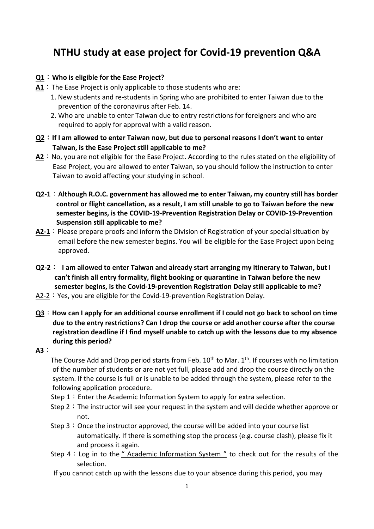# **NTHU study at ease project for Covid-19 prevention Q&A**

## **Q1**:**Who is eligible for the Ease Project?**

- A1 : The Ease Project is only applicable to those students who are:
	- 1. New students and re-students in Spring who are prohibited to enter Taiwan due to the prevention of the coronavirus after Feb. 14.
	- 2. Who are unable to enter Taiwan due to entry restrictions for foreigners and who are required to apply for approval with a valid reason.
- **Q2**:**If I am allowed to enter Taiwan now, but due to personal reasons I don't want to enter Taiwan, is the Ease Project still applicable to me?**
- **A2**: No, you are not eligible for the Ease Project. According to the rules stated on the eligibility of Ease Project, you are allowed to enter Taiwan, so you should follow the instruction to enter Taiwan to avoid affecting your studying in school.
- **Q2-1**:**Although R.O.C. government has allowed me to enter Taiwan, my country still has border control or flight cancellation, as a result, I am still unable to go to Taiwan before the new semester begins, is the COVID-19-Prevention Registration Delay or COVID-19-Prevention Suspension still applicable to me?**
- A2-1: Please prepare proofs and inform the Division of Registration of your special situation by email before the new semester begins. You will be eligible for the Ease Project upon being approved.
- **Q2-2**: **I am allowed to enter Taiwan and already start arranging my itinerary to Taiwan, but I can't finish all entry formality, flight booking or quarantine in Taiwan before the new semester begins, is the Covid-19-prevention Registration Delay still applicable to me?**
- A2-2: Yes, you are eligible for the Covid-19-prevention Registration Delay.
- **Q3**:**How can I apply for an additional course enrollment if I could not go back to school on time due to the entry restrictions? Can I drop the course or add another course after the course registration deadline if I find myself unable to catch up with the lessons due to my absence during this period?**

## **A3**:

The Course Add and Drop period starts from Feb.  $10^{th}$  to Mar.  $1^{th}$ . If courses with no limitation of the number of students or are not yet full, please add and drop the course directly on the system. If the course is full or is unable to be added through the system, please refer to the following application procedure.

- Step  $1:$  Enter the Academic Information System to apply for extra selection.
- Step 2: The instructor will see your request in the system and will decide whether approve or not.
- Step  $3:$  Once the instructor approved, the course will be added into your course list automatically. If there is something stop the process (e.g. course clash), please fix it and process it again.
- Step  $4:$  Log in to the [" Academic Information System "](https://www.ccxp.nthu.edu.tw/ccxp/INQUIRE/index.php?lang=english) to check out for the results of the selection.
- If you cannot catch up with the lessons due to your absence during this period, you may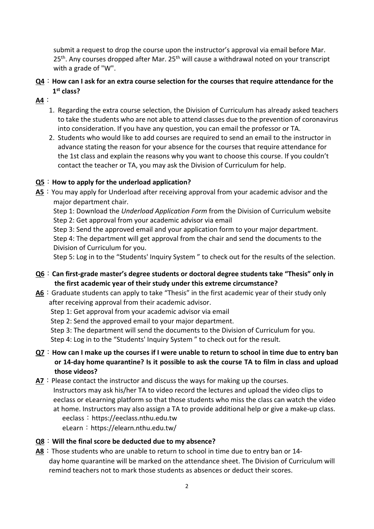submit a request to drop the course upon the instructor's approval via email before Mar. 25<sup>th</sup>. Any courses dropped after Mar. 25<sup>th</sup> will cause a withdrawal noted on your transcript with a grade of "W".

- **Q4**:**How can I ask for an extra course selection for the courses that require attendance for the 1st class?**
- **A4**:
	- 1. Regarding the extra course selection, the Division of Curriculum has already asked teachers to take the students who are not able to attend classes due to the prevention of coronavirus into consideration. If you have any question, you can email the professor or TA.
	- 2. Students who would like to add courses are required to send an email to the instructor in advance stating the reason for your absence for the courses that require attendance for the 1st class and explain the reasons why you want to choose this course. If you couldn't contact the teacher or TA, you may ask the Division of Curriculum for help.

## **Q5**:**How to apply for the underload application?**

**A5**: You may apply for Underload after receiving approval from your academic advisor and the major department chair.

Step 1: Download the *Underload Application Form* from the Division of Curriculum website Step 2: Get approval from your academic advisor via email

Step 3: Send the approved email and your application form to your major department.

Step 4: The department will get approval from the chair and send the documents to the Division of Curriculum for you.

Step 5: Log in to the ["Students' Inquiry System](https://www.ccxp.nthu.edu.tw/ccxp/INQUIRE/index.php?lang=english) " to check out for the results of the selection.

- **Q6**:**Can first-grade master's degree students or doctoral degree students take "Thesis" only in the first academic year of their study under this extreme circumstance?**
- A6 : Graduate students can apply to take "Thesis" in the first academic year of their study only after receiving approval from their academic advisor.
	- Step 1: Get approval from your academic advisor via email
	- Step 2: Send the approved email to your major department.
	- Step 3: The department will send the documents to the Division of Curriculum for you.
	- Step 4: Log in to the ["Students' Inquiry System](https://www.ccxp.nthu.edu.tw/ccxp/INQUIRE/index.php?lang=english) " to check out for the result.
- **Q7**:**How can I make up the courses if I were unable to return to school in time due to entry ban or 14-day home quarantine? Is it possible to ask the course TA to film in class and upload those videos?**

**A7**: Please contact the instructor and discuss the ways for making up the courses. Instructors may ask his/her TA to video record the lectures and upload the video clips to eeclass or eLearning platform so that those students who miss the class can watch the video at home. Instructors may also assign a TA to provide additional help or give a make-up class. eeclass: [https://eeclass.nthu.edu.tw](https://eeclass.nthu.edu.tw/)

- eLearn: <https://elearn.nthu.edu.tw/>
- **Q8**:**Will the final score be deducted due to my absence?**
- **A8**:Those students who are unable to return to school in time due to entry ban or 14 day home quarantine will be marked on the attendance sheet. The Division of Curriculum will remind teachers not to mark those students as absences or deduct their scores.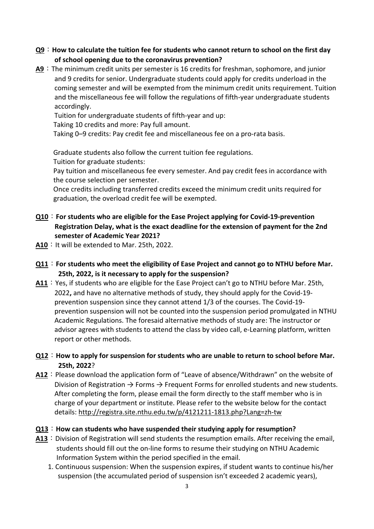- **Q9**:**How to calculate the tuition fee for students who cannot return to school on the first day of school opening due to the coronavirus prevention?**
- **A9**:The minimum credit units per semester is 16 credits for freshman, sophomore, and junior and 9 credits for senior. Undergraduate students could apply for credits underload in the coming semester and will be exempted from the minimum credit units requirement. Tuition and the miscellaneous fee will follow the regulations of fifth-year undergraduate students accordingly.

Tuition for undergraduate students of fifth-year and up:

Taking 10 credits and more: Pay full amount.

Taking 0–9 credits: Pay credit fee and miscellaneous fee on a pro-rata basis.

Graduate students also follow the current tuition fee regulations. Tuition for graduate students:

Pay tuition and miscellaneous fee every semester. And pay credit fees in accordance with the course selection per semester.

Once credits including transferred credits exceed the minimum credit units required for graduation, the overload credit fee will be exempted.

- **Q10**:**For students who are eligible for the Ease Project applying for Covid-19-prevention Registration Delay, what is the exact deadline for the extension of payment for the 2nd semester of Academic Year 2021?**
- A10 : It will be extended to Mar. 25th, 2022.
- **Q11**:**For students who meet the eligibility of Ease Project and cannot go to NTHU before Mar. 25th, 2022, is it necessary to apply for the suspension?**
- **A11**:Yes, if students who are eligible for the Ease Project can't go to NTHU before Mar. 25th, 2022**,** and have no alternative methods of study, they should apply for the Covid-19 prevention suspension since they cannot attend 1/3 of the courses. The Covid-19 prevention suspension will not be counted into the suspension period promulgated in NTHU Academic Regulations. The foresaid alternative methods of study are: The instructor or advisor agrees with students to attend the class by video call, e-Learning platform, written report or other methods.
- **Q12**:**How to apply for suspension for students who are unable to return to school before Mar. 25th, 2022**?
- A12: Please download the application form of "Leave of absence/Withdrawn" on the website of Division of Registration  $\rightarrow$  Forms  $\rightarrow$  Frequent Forms for enrolled students and new students. After completing the form, please email the form directly to the staff member who is in charge of your department or institute. Please refer to the website below for the contact details:<http://registra.site.nthu.edu.tw/p/4121211-1813.php?Lang=zh-tw>
- **Q13**:**How can students who have suspended their studying apply for resumption?**
- A13 : Division of Registration will send students the resumption emails. After receiving the email, students should fill out the on-line forms to resume their studying on NTHU Academic Information System within the period specified in the email.
	- 1. Continuous suspension: When the suspension expires, if student wants to continue his/her suspension (the accumulated period of suspension isn't exceeded 2 academic years),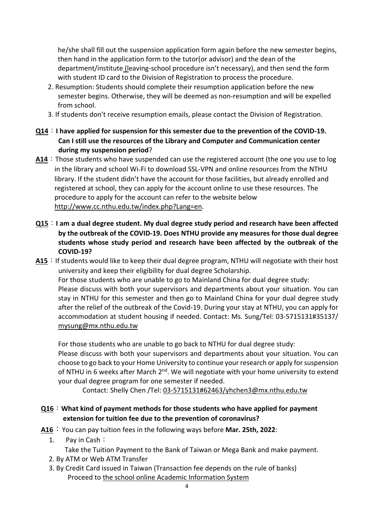he/she shall fill out the suspension application form again before the new semester begins, then hand in the application form to the tutor(or advisor) and the dean of the department/institute (leaving-school procedure isn't necessary), and then send the form with student ID card to the Division of Registration to process the procedure.

- 2. Resumption: Students should complete their resumption application before the new semester begins. Otherwise, they will be deemed as non-resumption and will be expelled from school.
- 3. If students don't receive resumption emails, please contact the Division of Registration.
- **Q14**:**I have applied for suspension for this semester due to the prevention of the COVID-19. Can I still use the resources of the Library and Computer and Communication center during my suspension period**?
- **A14**:Those students who have suspended can use the registered account (the one you use to log in the library and school Wi-Fi to download SSL-VPN and online resources from the NTHU library. If the student didn't have the account for those facilities, but already enrolled and registered at school, they can apply for the account online to use these resources. The procedure to apply for the account can refer to the website below [http://www.cc.nthu.edu.tw/index.php?Lang=en.](http://www.cc.nthu.edu.tw/index.php?Lang=en)
- **Q15**:**I am a dual degree student. My dual degree study period and research have been affected by the outbreak of the COVID-19. Does NTHU provide any measures for those dual degree students whose study period and research have been affected by the outbreak of the COVID-19?**
- A15 : If students would like to keep their dual degree program, NTHU will negotiate with their host university and keep their eligibility for dual degree Scholarship. For those students who are unable to go to Mainland China for dual degree study: Please discuss with both your supervisors and departments about your situation. You can stay in NTHU for this semester and then go to Mainland China for your dual degree study after the relief of the outbreak of the Covid-19. During your stay at NTHU, you can apply for accommodation at student housing if needed. Contact: Ms. Sung/Tel: 03-5715131#35137/ [mysung@mx.nthu.edu.tw](mailto:mysung@mx.nthu.edu.tw)

For those students who are unable to go back to NTHU for dual degree study: Please discuss with both your supervisors and departments about your situation. You can choose to go back to your Home University to continue your research or apply for suspension of NTHU in 6 weeks after March 2<sup>nd</sup>. We will negotiate with your home university to extend your dual degree program for one semester if needed.

Contact: Shelly Chen /Tel: [03-5715131#62463/yhchen3@mx.nthu.edu.tw](about:blank)

- **Q16**:**What kind of payment methods for those students who have applied for payment extension for tuition fee due to the prevention of coronavirus?**
- **A16**:You can pay tuition fees in the following ways before **Mar. 25th, 2022**:
	- 1. Pay in Cash:
		- Take the Tuition Payment to the Bank of Taiwan or Mega Bank and make payment.
	- 2. By ATM or Web ATM Transfer
	- 3. By Credit Card issued in Taiwan (Transaction fee depends on the rule of banks) Proceed to [the school online Academic Information System](https://www.ccxp.nthu.edu.tw/ccxp/INQUIRE/index.php?lang=english)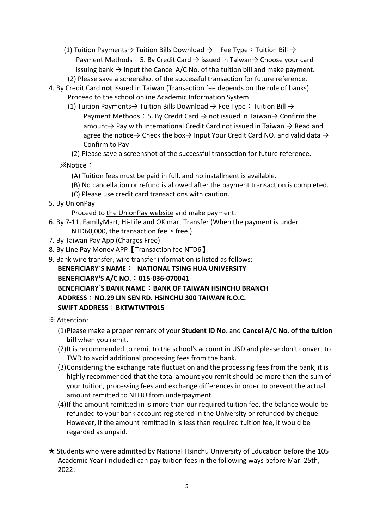- (1) Tuition Payments  $\rightarrow$  Tuition Bills Download  $\rightarrow$  Fee Type: Tuition Bill  $\rightarrow$ Payment Methods: 5. By Credit Card  $\rightarrow$  issued in Taiwan $\rightarrow$  Choose your card issuing bank  $\rightarrow$  Input the Cancel A/C No. of the tuition bill and make payment.
	- (2) Please save a screenshot of the successful transaction for future reference.
- 4. By Credit Card **not** issued in Taiwan (Transaction fee depends on the rule of banks) Proceed to [the school online Academic Information System](https://www.ccxp.nthu.edu.tw/ccxp/INQUIRE/index.php?lang=english)
	- (1) Tuition Payments  $\rightarrow$  Tuition Bills Download  $\rightarrow$  Fee Type: Tuition Bill  $\rightarrow$ Payment Methods: 5. By Credit Card  $\rightarrow$  not issued in Taiwan $\rightarrow$  Confirm the amount $\rightarrow$  Pay with International Credit Card not issued in Taiwan  $\rightarrow$  Read and agree the notice  $\rightarrow$  Check the box  $\rightarrow$  Input Your Credit Card NO. and valid data  $\rightarrow$ Confirm to Pay
	- (2) Please save a screenshot of the successful transaction for future reference.

※Notice:

- (A) Tuition fees must be paid in full, and no installment is available.
- (B) No cancellation or refund is allowed after the payment transaction is completed.
- (C) Please use credit card transactions with caution.
- 5. By UnionPay

Proceed to [the UnionPay website](https://school.bot.com.tw/newTwbank/UnionPay.aspx) and make payment.

- 6. By 7-11, FamilyMart, Hi-Life and OK mart Transfer (When the payment is under NTD60,000, the transaction fee is free.)
- 7. By Taiwan Pay App (Charges Free)
- 8. By Line Pay Money APP【Transaction fee NTD6】
- 9. Bank wire transfer, wire transfer information is listed as follows:

## **BENEFICIARY`S NAME**: **NATIONAL TSING HUA UNIVERSITY**

## **BENEFICIARY'S A/C NO.**:**015-036-070041**

**BENEFICIARY`S BANK NAME**:**BANK OF TAIWAN HSINCHU BRANCH ADDRESS**:**NO.29 LIN SEN RD. HSINCHU 300 TAIWAN R.O.C. SWIFT ADDRESS**:**BKTWTWTP015**

## ※ Attention:

- (1)Please make a proper remark of your **Student ID No**. and **Cancel A/C No. of the tuition bill** when you remit.
- (2)It is recommended to remit to the school's account in USD and please don't convert to TWD to avoid additional processing fees from the bank.
- (3)Considering the exchange rate fluctuation and the processing fees from the bank, it is highly recommended that the total amount you remit should be more than the sum of your tuition, processing fees and exchange differences in order to prevent the actual amount remitted to NTHU from underpayment.
- (4)If the amount remitted in is more than our required tuition fee, the balance would be refunded to your bank account registered in the University or refunded by cheque. However, if the amount remitted in is less than required tuition fee, it would be regarded as unpaid.
- ★ Students who were admitted by National Hsinchu University of Education before the 105 Academic Year (included) can pay tuition fees in the following ways before Mar. 25th, 2022: